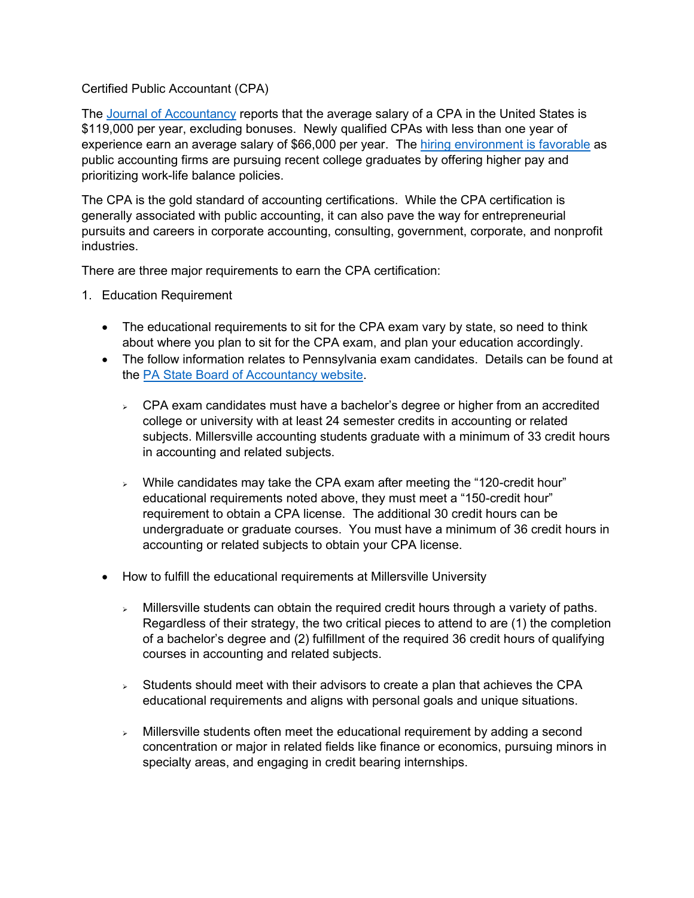## Certified Public Accountant (CPA)

The [Journal of Accountancy](https://www.journalofaccountancy.com/news/2017/sep/cpa-average-salary-201717483.html) reports that the average salary of a CPA in the United States is \$119,000 per year, excluding bonuses. Newly qualified CPAs with less than one year of experience earn an average salary of \$66,000 per year. The [hiring environment is favorable](https://www.roberthalf.com/sites/default/files/Media_Root/images/at-pdfs/2017-robert-half-salary-guide-accounting-finance.pdf) as public accounting firms are pursuing recent college graduates by offering higher pay and prioritizing work-life balance policies.

The CPA is the gold standard of accounting certifications. While the CPA certification is generally associated with public accounting, it can also pave the way for entrepreneurial pursuits and careers in corporate accounting, consulting, government, corporate, and nonprofit industries.

There are three major requirements to earn the CPA certification:

- 1. Education Requirement
	- The educational requirements to sit for the CPA exam vary by state, so need to think about where you plan to sit for the CPA exam, and plan your education accordingly.
	- The follow information relates to Pennsylvania exam candidates. Details can be found at the PA State Board of [Accountancy website.](https://www.dos.pa.gov/ProfessionalLicensing/BoardsCommissions/Accountancy/Pages/default.aspx)
		- $\triangleright$  CPA exam candidates must have a bachelor's degree or higher from an accredited college or university with at least 24 semester credits in accounting or related subjects. Millersville accounting students graduate with a minimum of 33 credit hours in accounting and related subjects.
		- $\triangleright$  While candidates may take the CPA exam after meeting the "120-credit hour" educational requirements noted above, they must meet a "150-credit hour" requirement to obtain a CPA license. The additional 30 credit hours can be undergraduate or graduate courses. You must have a minimum of 36 credit hours in accounting or related subjects to obtain your CPA license.
	- How to fulfill the educational requirements at Millersville University
		- $\rightarrow$  Millersville students can obtain the required credit hours through a variety of paths. Regardless of their strategy, the two critical pieces to attend to are (1) the completion of a bachelor's degree and (2) fulfillment of the required 36 credit hours of qualifying courses in accounting and related subjects.
		- $\triangleright$  Students should meet with their advisors to create a plan that achieves the CPA educational requirements and aligns with personal goals and unique situations.
		- $\rightarrow$  Millersville students often meet the educational requirement by adding a second concentration or major in related fields like finance or economics, pursuing minors in specialty areas, and engaging in credit bearing internships.